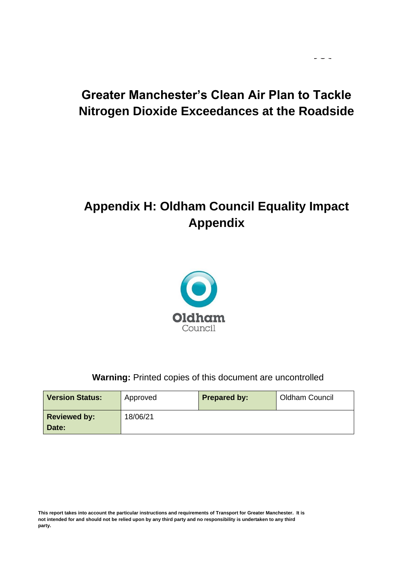# **Greater Manchester's Clean Air Plan to Tackle Nitrogen Dioxide Exceedances at the Roadside**

 $\omega_{\rm c}$  and  $\omega_{\rm c}$ 

# **Appendix H: Oldham Council Equality Impact Appendix**



### **Warning:** Printed copies of this document are uncontrolled

| <b>Version Status:</b>       | Approved | <b>Prepared by:</b> | Oldham Council |
|------------------------------|----------|---------------------|----------------|
| <b>Reviewed by:</b><br>Date: | 18/06/21 |                     |                |

**This report takes into account the particular instructions and requirements of Transport for Greater Manchester. It is not intended for and should not be relied upon by any third party and no responsibility is undertaken to any third party.**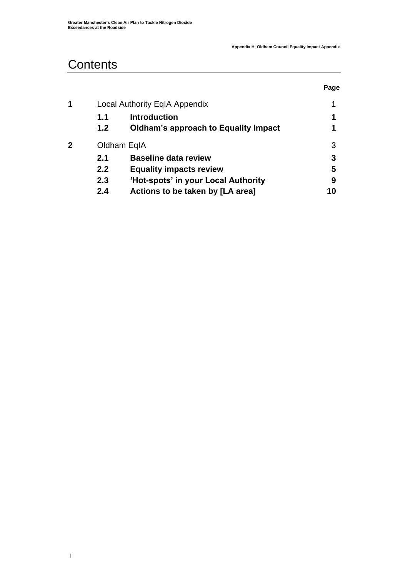# **Contents**

**|** 

|   |     |                                             | Page |
|---|-----|---------------------------------------------|------|
| 1 |     | <b>Local Authority EqIA Appendix</b>        | 1    |
|   | 1.1 | <b>Introduction</b>                         | 1    |
|   | 1.2 | <b>Oldham's approach to Equality Impact</b> | 1    |
| 2 |     | Oldham EqIA                                 | 3    |
|   | 2.1 | <b>Baseline data review</b>                 | 3    |
|   | 2.2 | <b>Equality impacts review</b>              | 5    |
|   | 2.3 | 'Hot-spots' in your Local Authority         | 9    |
|   | 2.4 | Actions to be taken by [LA area]            | 10   |
|   |     |                                             |      |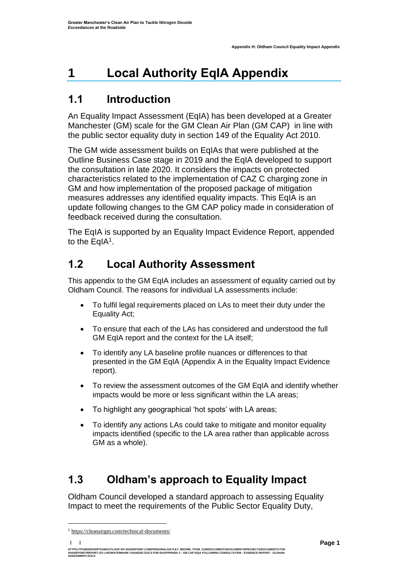# <span id="page-2-0"></span>**1 Local Authority EqIA Appendix**

## <span id="page-2-1"></span>**1.1 Introduction**

An Equality Impact Assessment (EqIA) has been developed at a Greater Manchester (GM) scale for the GM Clean Air Plan (GM CAP) in line with the public sector equality duty in section 149 of the Equality Act 2010.

The GM wide assessment builds on EqIAs that were published at the Outline Business Case stage in 2019 and the EqIA developed to support the consultation in late 2020. It considers the impacts on protected characteristics related to the implementation of CAZ C charging zone in GM and how implementation of the proposed package of mitigation measures addresses any identified equality impacts. This EqIA is an update following changes to the GM CAP policy made in consideration of feedback received during the consultation.

The EqIA is supported by an Equality Impact Evidence Report, appended to the EqIA<sup>1</sup>.

# **1.2 Local Authority Assessment**

This appendix to the GM EqIA includes an assessment of equality carried out by Oldham Council. The reasons for individual LA assessments include:

- To fulfil legal requirements placed on LAs to meet their duty under the Equality Act;
- To ensure that each of the LAs has considered and understood the full GM EqIA report and the context for the LA itself:
- To identify any LA baseline profile nuances or differences to that presented in the GM EqIA (Appendix A in the Equality Impact Evidence report).
- To review the assessment outcomes of the GM EqIA and identify whether impacts would be more or less significant within the LA areas;
- To highlight any geographical 'hot spots' with LA areas;
- To identify any actions LAs could take to mitigate and monitor equality impacts identified (specific to the LA area rather than applicable across GM as a whole).

# <span id="page-2-2"></span>**1.3 Oldham's approach to Equality Impact**

Oldham Council developed a standard approach to assessing Equality Impact to meet the requirements of the Public Sector Equality Duty,

**| |** 

<sup>1</sup> [https://cleanairgm.com/technical-documents/](https://secure-web.cisco.com/11eiBCgElauzNx9ZLncgJx3iOubmp4VtcvvkdlhxY65RKvTbIb59-L2ncr8SElltrd2x-6LbEl4KMsTTxIe3wkMOtRdF_mwDnnUw_pzGQZOwSRIhPJyQIZ8Yp6BpEAcNSn8Ts-zUMkCwwKuuZ6JqlhO90pJazjetwe6gKhLVIM_BswP0PQmXUeuqGyGpWdmieI8qM86OywsW2Ih1TXBkADjvPWBAW0J67oLJLyOi-5a-P-uw5qxFWy4jV1Rgj27aX74mWEA8RmcCJF_QiJniWV9Y7vnNRmfIdielNKILyTnV3ChPut5AXlpom2ThMoaDynN4YcMw9M5bXrEI6WdmDFg/https%3A%2F%2Furl4.mailanyone.net%2Fv1%2F%3Fm%3D1lqaQa-0007kg-3t%26i%3D57e1b682%26c%3Dwx7pouswT3bJs4LPeETsz86q7Q_0OC56XXhe7DlJDibGRSGR8fdmSomeuSdI7C2Fa0eQbaAqoLXhP95flvC3e_rUhnBjBiD8llf9LaF4ZtCjfFRgnR8YVM3huSJaCGnICk94fttlvHc5puWw5cDJWXKncROEJUpzHqnxCBOtlS83l3-sjgML-pIcbUhAQZELxzuJu6c3812_3lnwQAbyYwgocO5Fara8d5TyMQqiWW6tNZcZXXghiSlVoISAGQRmsZ-TU8nVqIdM3Z7LyV0OBSLL4yenFqLa1SDyZM36c6L9Rv_9RwvC_zO8-ja9EEmp3RuaxQ4iKqu8pID_qRBxLRB9hKR0Yp8TjK3AxZQfI6W6JX6ff_FKZIssUgNuX4h8fgWjXtS31MSzgcKKD5htCOS8RNiJG7hqFaezCADs1zqfd5YI5KwtXyQV8Xcw9c04dqUU3rtH6b_zGkplrYZzi_tw5Uh0gVH_yDQ0aze-YmaYOmPe-7DcIOn3tcJzyPAzyNqQZKCfP-i1oh349NtnaY_1gjK4qs0hRBa9R9D0kEGpaGRFokA16JTCjrnHuvRgs7DcM7Fi3nDdrs6xiFxYb34O5EIVstmWMeA67C4pmsqoQ4hX3-rUnQd3vI35GAzQJzJxEsp-QxLb4UU4coOA_r80VNAaur_GF4G4X8lvmN0gEZ3Wu5QzUhFNsj4TCOgSucH17LnJrJVLTZfksCAbTQ)

HTTPS://TFGMSERVERTEAMOUTLOOK-MY.SHAREPOINT.COM/PERSONAL/HAYLEY\_BROWN\_TFGM\_COM/DOCUMENTS/DOCUMENTS/PROJECTS/DOCUMENTS FOR<br>SHAREPOINT/REPORT GO LIVE/WATERMARK CHANGED DOCS FOR EH/APPENDIX 2 - GM CAP EQIA FOLLOWING CONSULTAT **ASSESSMENT.DOCX**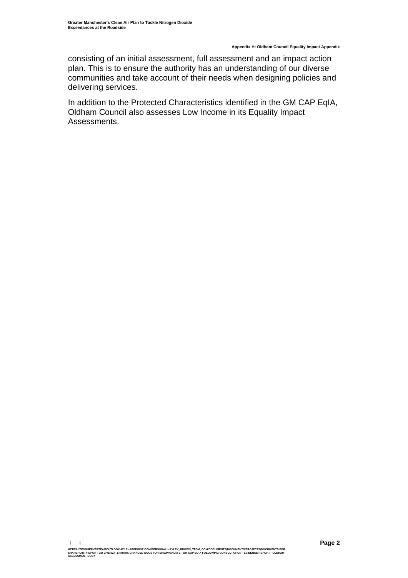**Appendix H: Oldham Council Equality Impact Appendix**

consisting of an initial assessment, full assessment and an impact action plan. This is to ensure the authority has an understanding of our diverse communities and take account of their needs when designing policies and delivering services.

In addition to the Protected Characteristics identified in the GM CAP EqIA, Oldham Council also assesses Low Income in its Equality Impact Assessments.

HTTPS://TFGMSERVERTEAMOUTLOOK-MY.SHAREPOINT.COM/PERSONAL/HAYLEY\_BROWN\_TFGM\_COM/DOCUMENTS/DOCUMENTS/PROJECTS/DOCUMENTS FOR<br>SHAREPOINT/REPORT GO LIVE/WATERMARK CHANGED DOCS FOR EH/APPENDIX 2 - GM CAP EQIA FOLLOWING CONSULTAT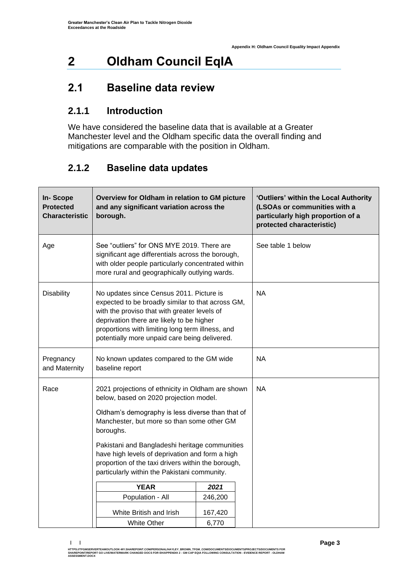# <span id="page-4-0"></span>**2 Oldham Council EqIA**

## <span id="page-4-1"></span>**2.1 Baseline data review**

## **2.1.1 Introduction**

We have considered the baseline data that is available at a Greater Manchester level and the Oldham specific data the overall finding and mitigations are comparable with the position in Oldham.

## **2.1.2 Baseline data updates**

| <b>In-Scope</b><br><b>Protected</b><br><b>Characteristic</b> | Overview for Oldham in relation to GM picture<br>and any significant variation across the<br>borough.                                                                                                                                                                                                                                                                                                                                                                               | 'Outliers' within the Local Authority<br>(LSOAs or communities with a<br>particularly high proportion of a<br>protected characteristic) |  |
|--------------------------------------------------------------|-------------------------------------------------------------------------------------------------------------------------------------------------------------------------------------------------------------------------------------------------------------------------------------------------------------------------------------------------------------------------------------------------------------------------------------------------------------------------------------|-----------------------------------------------------------------------------------------------------------------------------------------|--|
| Age                                                          | See "outliers" for ONS MYE 2019. There are<br>significant age differentials across the borough,<br>with older people particularly concentrated within<br>more rural and geographically outlying wards.                                                                                                                                                                                                                                                                              | See table 1 below                                                                                                                       |  |
| <b>Disability</b>                                            | No updates since Census 2011. Picture is<br>expected to be broadly similar to that across GM,<br>with the proviso that with greater levels of<br>deprivation there are likely to be higher<br>proportions with limiting long term illness, and<br>potentially more unpaid care being delivered.                                                                                                                                                                                     | <b>NA</b>                                                                                                                               |  |
| Pregnancy<br>and Maternity                                   | No known updates compared to the GM wide<br>baseline report                                                                                                                                                                                                                                                                                                                                                                                                                         | <b>NA</b>                                                                                                                               |  |
| Race                                                         | 2021 projections of ethnicity in Oldham are shown<br>below, based on 2020 projection model.<br>Oldham's demography is less diverse than that of<br>Manchester, but more so than some other GM<br>boroughs.<br>Pakistani and Bangladeshi heritage communities<br>have high levels of deprivation and form a high<br>proportion of the taxi drivers within the borough,<br>particularly within the Pakistani community.<br><b>YEAR</b><br>Population - All<br>White British and Irish | <b>NA</b>                                                                                                                               |  |
|                                                              | <b>White Other</b>                                                                                                                                                                                                                                                                                                                                                                                                                                                                  | 167,420<br>6,770                                                                                                                        |  |

**<sup>| |</sup>**  HTTPS://TFGMSERVERTEAMOUTLOOK-MY.SHAREPOINT.COM/PERSONAL/HAYLEY\_BROWN\_TFGM\_COM/DOCUMENTS/DOCUMENTS/PROJECTS/DOCUMENTS FOR<br>SHAREPOINT/REPORT GO LIVE/WATERMARK CHANGED DOCS FOR EH/APPENDIX 2 - GM CAP EQIA FOLLOWING CONSULTAT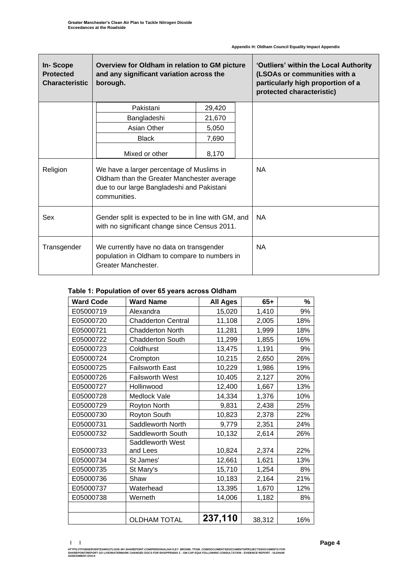r

| In-Scope<br><b>Protected</b><br><b>Characteristic</b> | Overview for Oldham in relation to GM picture<br>and any significant variation across the<br>borough.                                                 | 'Outliers' within the Local Authority<br>(LSOAs or communities with a<br>particularly high proportion of a<br>protected characteristic) |           |
|-------------------------------------------------------|-------------------------------------------------------------------------------------------------------------------------------------------------------|-----------------------------------------------------------------------------------------------------------------------------------------|-----------|
|                                                       | Pakistani                                                                                                                                             | 29,420                                                                                                                                  |           |
|                                                       | Bangladeshi                                                                                                                                           | 21,670                                                                                                                                  |           |
|                                                       | Asian Other                                                                                                                                           | 5,050                                                                                                                                   |           |
|                                                       | <b>Black</b>                                                                                                                                          | 7,690                                                                                                                                   |           |
|                                                       | Mixed or other                                                                                                                                        | 8,170                                                                                                                                   |           |
| Religion                                              | We have a larger percentage of Muslims in<br>Oldham than the Greater Manchester average<br>due to our large Bangladeshi and Pakistani<br>communities. | <b>NA</b>                                                                                                                               |           |
| Sex                                                   | Gender split is expected to be in line with GM, and<br>with no significant change since Census 2011.                                                  | <b>NA</b>                                                                                                                               |           |
| Transgender                                           | We currently have no data on transgender<br>population in Oldham to compare to numbers in<br>Greater Manchester.                                      |                                                                                                                                         | <b>NA</b> |

#### **Table 1: Population of over 65 years across Oldham**

| <b>Ward Code</b> | <b>Ward Name</b>          | <b>All Ages</b> | $65+$  | %   |
|------------------|---------------------------|-----------------|--------|-----|
| E05000719        | Alexandra                 | 15,020          | 1,410  | 9%  |
| E05000720        | <b>Chadderton Central</b> | 11,108          | 2,005  | 18% |
| E05000721        | <b>Chadderton North</b>   | 11,281          | 1,999  | 18% |
| E05000722        | <b>Chadderton South</b>   | 11,299          | 1,855  | 16% |
| E05000723        | Coldhurst                 | 13,475          | 1,191  | 9%  |
| E05000724        | Crompton                  | 10,215          | 2,650  | 26% |
| E05000725        | <b>Failsworth East</b>    | 10,229          | 1,986  | 19% |
| E05000726        | <b>Failsworth West</b>    | 10,405          | 2,127  | 20% |
| E05000727        | Hollinwood                | 12,400          | 1,667  | 13% |
| E05000728        | Medlock Vale              | 14,334          | 1,376  | 10% |
| E05000729        | <b>Royton North</b>       | 9,831           | 2,438  | 25% |
| E05000730        | Royton South              | 10,823          | 2,378  | 22% |
| E05000731        | Saddleworth North         | 9,779           | 2,351  | 24% |
| E05000732        | Saddleworth South         | 10,132          | 2,614  | 26% |
|                  | Saddleworth West          |                 |        |     |
| E05000733        | and Lees                  | 10,824          | 2,374  | 22% |
| E05000734        | St James'                 | 12,661          | 1,621  | 13% |
| E05000735        | St Mary's                 | 15,710          | 1,254  | 8%  |
| E05000736        | Shaw                      | 10,183          | 2,164  | 21% |
| E05000737        | Waterhead                 | 13,395          | 1,670  | 12% |
| E05000738        | Werneth                   | 14,006          | 1,182  | 8%  |
|                  |                           |                 |        |     |
|                  | <b>OLDHAM TOTAL</b>       | 237,110         | 38,312 | 16% |

**<sup>| |</sup>**  HTTPS://TFGMSERVERTEAMOUTLOOK-MY.SHAREPOINT.COM/PERSONAL/HAYLEY\_BROWN\_TFGM\_COM/DOCUMENTS/DOCUMENTS/PROJECTS/DOCUMENTS FOR<br>SHAREPOINT/REPORT GO LIVE/WATERMARK CHANGED DOCS FOR EH/APPENDIX 2 - GM CAP EQIA FOLLOWING CONSULTAT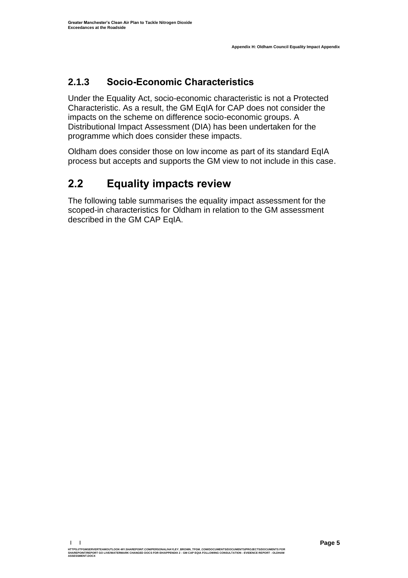## **2.1.3 Socio-Economic Characteristics**

Under the Equality Act, socio-economic characteristic is not a Protected Characteristic. As a result, the GM EqIA for CAP does not consider the impacts on the scheme on difference socio-economic groups. A Distributional Impact Assessment (DIA) has been undertaken for the programme which does consider these impacts.

Oldham does consider those on low income as part of its standard EqIA process but accepts and supports the GM view to not include in this case.

# <span id="page-6-0"></span>**2.2 Equality impacts review**

The following table summarises the equality impact assessment for the scoped-in characteristics for Oldham in relation to the GM assessment described in the GM CAP EqIA.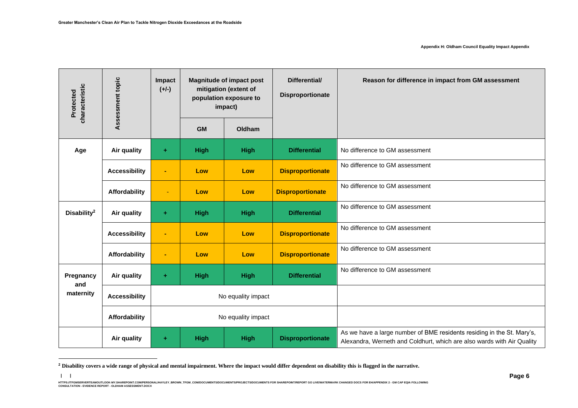**| |** 

| characteristic<br>Protected | Assessment topic     | Impact<br>$(+/-)$ |                    | <b>Magnitude of impact post</b><br>mitigation (extent of<br>population exposure to<br>impact) | Differential/<br>Disproportionate | Reason for difference in impact from GM assessment                                                                                               |
|-----------------------------|----------------------|-------------------|--------------------|-----------------------------------------------------------------------------------------------|-----------------------------------|--------------------------------------------------------------------------------------------------------------------------------------------------|
|                             |                      |                   | <b>GM</b>          | Oldham                                                                                        |                                   |                                                                                                                                                  |
| Age                         | Air quality          | ÷                 | <b>High</b>        | <b>High</b>                                                                                   | <b>Differential</b>               | No difference to GM assessment                                                                                                                   |
|                             | <b>Accessibility</b> | $\blacksquare$    | Low                | Low                                                                                           | <b>Disproportionate</b>           | No difference to GM assessment                                                                                                                   |
|                             | Affordability        | ٠                 | Low                | Low                                                                                           | <b>Disproportionate</b>           | No difference to GM assessment                                                                                                                   |
| Disability <sup>2</sup>     | Air quality          | $\pm$             | <b>High</b>        | <b>High</b>                                                                                   | <b>Differential</b>               | No difference to GM assessment                                                                                                                   |
|                             | <b>Accessibility</b> | $\blacksquare$    | Low                | Low                                                                                           | <b>Disproportionate</b>           | No difference to GM assessment                                                                                                                   |
|                             | Affordability        |                   | Low                | Low                                                                                           | <b>Disproportionate</b>           | No difference to GM assessment                                                                                                                   |
| Pregnancy                   | Air quality          | ÷                 | <b>High</b>        | <b>High</b>                                                                                   | <b>Differential</b>               | No difference to GM assessment                                                                                                                   |
| and<br>maternity            | <b>Accessibility</b> |                   | No equality impact |                                                                                               |                                   |                                                                                                                                                  |
|                             | Affordability        |                   |                    | No equality impact                                                                            |                                   |                                                                                                                                                  |
|                             | Air quality          | ÷                 | <b>High</b>        | <b>High</b>                                                                                   | <b>Disproportionate</b>           | As we have a large number of BME residents residing in the St. Mary's,<br>Alexandra, Werneth and Coldhurt, which are also wards with Air Quality |

**<sup>2</sup> Disability covers a wide range of physical and mental impairment. Where the impact would differ dependent on disability this is flagged in the narrative.**

HTTPS://TEMBERVERTEMOUTLOOK-MY.SHAREPOINT.COM/PERSONAL/HAYLEY\_BROWN\_TFGM\_COM/DOCUMENTS/ROCUMENTS/RROJECTS/DOCUMENTS FOR SHAREPOINT/REPORT GO LIVE/MATERMARK CHANGED DOCS FOR EH/APPENDIX 2 - GM CAP EQIA FOLLOWING<br>CONSULTATIO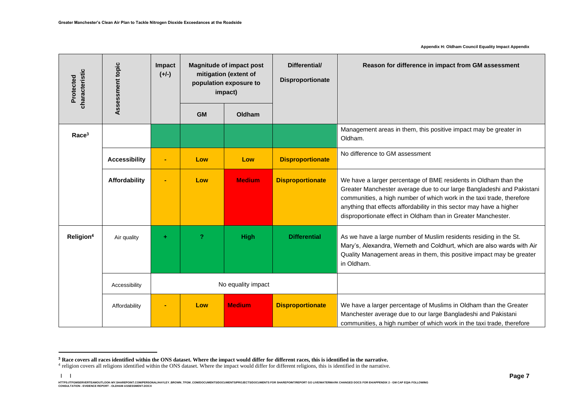**| |** 

**Appendix H: Oldham Council Equality Impact Appendix**

| characteristic<br>Protected | Assessment topic     | Impact<br>$(+/-)$ |           | <b>Magnitude of impact post</b><br>mitigation (extent of<br>population exposure to<br>impact) | Differential/<br>Disproportionate | Reason for difference in impact from GM assessment                                                                                                                                                                                                                                                                                                         |
|-----------------------------|----------------------|-------------------|-----------|-----------------------------------------------------------------------------------------------|-----------------------------------|------------------------------------------------------------------------------------------------------------------------------------------------------------------------------------------------------------------------------------------------------------------------------------------------------------------------------------------------------------|
|                             |                      |                   | <b>GM</b> | Oldham                                                                                        |                                   |                                                                                                                                                                                                                                                                                                                                                            |
| Race <sup>3</sup>           |                      |                   |           |                                                                                               |                                   | Management areas in them, this positive impact may be greater in<br>Oldham.                                                                                                                                                                                                                                                                                |
|                             | <b>Accessibility</b> | ٠                 | Low       | Low                                                                                           | <b>Disproportionate</b>           | No difference to GM assessment                                                                                                                                                                                                                                                                                                                             |
|                             | Affordability        |                   | Low       | <b>Medium</b>                                                                                 | <b>Disproportionate</b>           | We have a larger percentage of BME residents in Oldham than the<br>Greater Manchester average due to our large Bangladeshi and Pakistani<br>communities, a high number of which work in the taxi trade, therefore<br>anything that effects affordability in this sector may have a higher<br>disproportionate effect in Oldham than in Greater Manchester. |
| Religion <sup>4</sup>       | Air quality          | ÷                 | 2         | <b>High</b>                                                                                   | <b>Differential</b>               | As we have a large number of Muslim residents residing in the St.<br>Mary's, Alexandra, Werneth and Coldhurt, which are also wards with Air<br>Quality Management areas in them, this positive impact may be greater<br>in Oldham.                                                                                                                         |
|                             | Accessibility        |                   |           | No equality impact                                                                            |                                   |                                                                                                                                                                                                                                                                                                                                                            |
|                             | Affordability        |                   | Low       | <b>Medium</b>                                                                                 | <b>Disproportionate</b>           | We have a larger percentage of Muslims in Oldham than the Greater<br>Manchester average due to our large Bangladeshi and Pakistani<br>communities, a high number of which work in the taxi trade, therefore                                                                                                                                                |

**<sup>3</sup> Race covers all races identified within the ONS dataset. Where the impact would differ for different races, this is identified in the narrative.**

<sup>&</sup>lt;sup>4</sup> religion covers all religions identified within the ONS dataset. Where the impact would differ for different religions, this is identified in the narrative.

HTTPS://TEMBERVERTEMOUTLOOK-MY.SHAREPOINT.COM/PERSONAL/HAYLEY\_BROWN\_TFGM\_COM/DOCUMENTS/ROCUMENTS/RROJECTS/DOCUMENTS FOR SHAREPOINT/REPORT GO LIVE/MATERMARK CHANGED DOCS FOR EH/APPENDIX 2 - GM CAP EQIA FOLLOWING<br>CONSULTATIO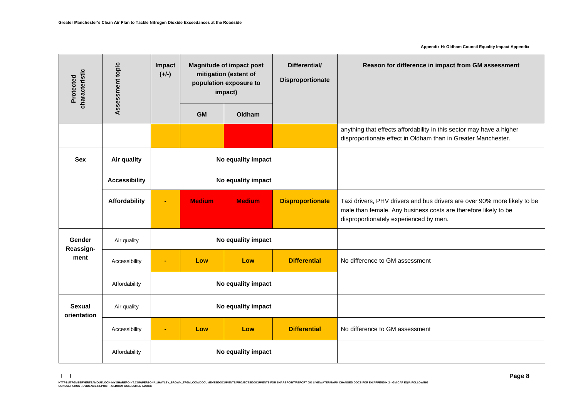**Appendix H: Oldham Council Equality Impact Appendix**

| characteristic<br>Protected  | Assessment topic     | Impact<br>$(+/-)$ |               | <b>Magnitude of impact post</b><br>mitigation (extent of<br>population exposure to<br>impact) | Differential/<br>Disproportionate | Reason for difference in impact from GM assessment                                                                                                                                    |
|------------------------------|----------------------|-------------------|---------------|-----------------------------------------------------------------------------------------------|-----------------------------------|---------------------------------------------------------------------------------------------------------------------------------------------------------------------------------------|
|                              |                      |                   | <b>GM</b>     | Oldham                                                                                        |                                   |                                                                                                                                                                                       |
|                              |                      |                   |               |                                                                                               |                                   | anything that effects affordability in this sector may have a higher<br>disproportionate effect in Oldham than in Greater Manchester.                                                 |
| <b>Sex</b>                   | Air quality          |                   |               | No equality impact                                                                            |                                   |                                                                                                                                                                                       |
|                              | <b>Accessibility</b> |                   |               | No equality impact                                                                            |                                   |                                                                                                                                                                                       |
|                              | Affordability        | ä,                | <b>Medium</b> | <b>Medium</b>                                                                                 | <b>Disproportionate</b>           | Taxi drivers, PHV drivers and bus drivers are over 90% more likely to be<br>male than female. Any business costs are therefore likely to be<br>disproportionately experienced by men. |
| <b>Gender</b><br>Reassign-   | Air quality          |                   |               | No equality impact                                                                            |                                   |                                                                                                                                                                                       |
| ment                         | Accessibility        | ۰                 | Low           | Low                                                                                           | <b>Differential</b>               | No difference to GM assessment                                                                                                                                                        |
|                              | Affordability        |                   |               | No equality impact                                                                            |                                   |                                                                                                                                                                                       |
| <b>Sexual</b><br>orientation | Air quality          |                   |               | No equality impact                                                                            |                                   |                                                                                                                                                                                       |
|                              | Accessibility        |                   | Low           | Low                                                                                           | <b>Differential</b>               | No difference to GM assessment                                                                                                                                                        |
|                              | Affordability        |                   |               | No equality impact                                                                            |                                   |                                                                                                                                                                                       |

**<sup>| |</sup>**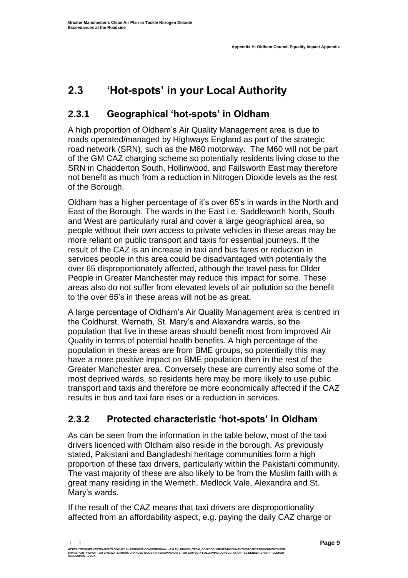# <span id="page-10-0"></span>**2.3 'Hot-spots' in your Local Authority**

## **2.3.1 Geographical 'hot-spots' in Oldham**

A high proportion of Oldham's Air Quality Management area is due to roads operated/managed by Highways England as part of the strategic road network (SRN), such as the M60 motorway. The M60 will not be part of the GM CAZ charging scheme so potentially residents living close to the SRN in Chadderton South, Hollinwood, and Failsworth East may therefore not benefit as much from a reduction in Nitrogen Dioxide levels as the rest of the Borough.

Oldham has a higher percentage of it's over 65's in wards in the North and East of the Borough. The wards in the East i.e. Saddleworth North, South and West are particularly rural and cover a large geographical area, so people without their own access to private vehicles in these areas may be more reliant on public transport and taxis for essential journeys. If the result of the CAZ is an increase in taxi and bus fares or reduction in services people in this area could be disadvantaged with potentially the over 65 disproportionately affected, although the travel pass for Older People in Greater Manchester may reduce this impact for some. These areas also do not suffer from elevated levels of air pollution so the benefit to the over 65's in these areas will not be as great.

A large percentage of Oldham's Air Quality Management area is centred in the Coldhurst, Werneth, St. Mary's and Alexandra wards, so the population that live in these areas should benefit most from improved Air Quality in terms of potential health benefits. A high percentage of the population in these areas are from BME groups, so potentially this may have a more positive impact on BME population then in the rest of the Greater Manchester area. Conversely these are currently also some of the most deprived wards, so residents here may be more likely to use public transport and taxis and therefore be more economically affected if the CAZ results in bus and taxi fare rises or a reduction in services.

## **2.3.2 Protected characteristic 'hot-spots' in Oldham**

As can be seen from the information in the table below, most of the taxi drivers licenced with Oldham also reside in the borough. As previously stated, Pakistani and Bangladeshi heritage communities form a high proportion of these taxi drivers, particularly within the Pakistani community. The vast majority of these are also likely to be from the Muslim faith with a great many residing in the Werneth, Medlock Vale, Alexandra and St. Mary's wards.

If the result of the CAZ means that taxi drivers are disproportionality affected from an affordability aspect, e.g. paying the daily CAZ charge or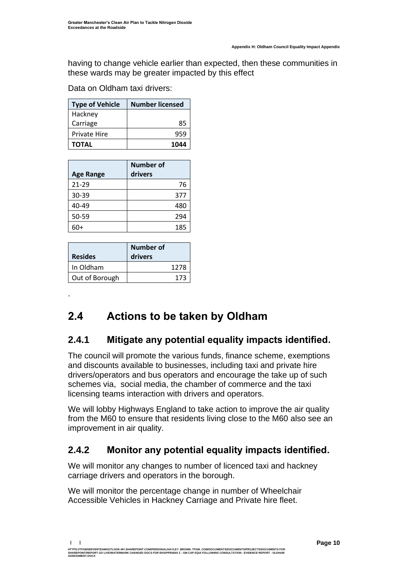having to change vehicle earlier than expected, then these communities in these wards may be greater impacted by this effect

Data on Oldham taxi drivers:

| <b>Type of Vehicle</b> | <b>Number licensed</b> |
|------------------------|------------------------|
| Hackney                |                        |
| Carriage               | 85                     |
| <b>Private Hire</b>    | 959                    |
| <b>TOTAL</b>           | 1044                   |

| <b>Age Range</b> | Number of<br>drivers |
|------------------|----------------------|
| $21 - 29$        | 76                   |
| 30-39            | 377                  |
| 40-49            | 480                  |
| 50-59            | 294                  |
| 60+              | 185                  |

| <b>Resides</b> | <b>Number of</b><br>drivers |
|----------------|-----------------------------|
| In Oldham      | 1278                        |
| Out of Borough | 173                         |

.

## <span id="page-11-0"></span>**2.4 Actions to be taken by Oldham**

### **2.4.1 Mitigate any potential equality impacts identified.**

The council will promote the various funds, finance scheme, exemptions and discounts available to businesses, including taxi and private hire drivers/operators and bus operators and encourage the take up of such schemes via, social media, the chamber of commerce and the taxi licensing teams interaction with drivers and operators.

We will lobby Highways England to take action to improve the air quality from the M60 to ensure that residents living close to the M60 also see an improvement in air quality.

### **2.4.2 Monitor any potential equality impacts identified.**

We will monitor any changes to number of licenced taxi and hackney carriage drivers and operators in the borough.

We will monitor the percentage change in number of Wheelchair Accessible Vehicles in Hackney Carriage and Private hire fleet.

**| |**  HTTPS://TFGMSERVERTEAMOUTLOOK-MY.SHAREPOINT.COM/PERSONAL/HAYLEY\_BROWN\_TFGM\_COM/DOCUMENTS/DOCUMENTS/PROJECTS/DOCUMENTS FOR<br>SHAREPOINT/REPORT GO LIVE/WATERMARK CHANGED DOCS FOR EH/APPENDIX 2 - GM CAP EQIA FOLLOWING CONSULTAT **ASSESSMENT.DOCX**